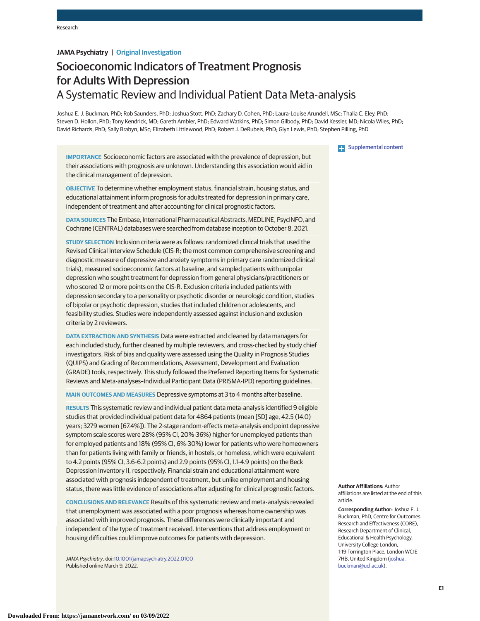# **JAMA Psychiatry | Original Investigation**

# Socioeconomic Indicators of Treatment Prognosis for Adults With Depression A Systematic Review and Individual Patient Data Meta-analysis

Joshua E. J. Buckman, PhD; Rob Saunders, PhD; Joshua Stott, PhD; Zachary D. Cohen, PhD; Laura-Louise Arundell, MSc; Thalia C. Eley, PhD; Steven D. Hollon, PhD; Tony Kendrick, MD; Gareth Ambler, PhD; Edward Watkins, PhD; Simon Gilbody, PhD; David Kessler, MD; Nicola Wiles, PhD; David Richards, PhD; Sally Brabyn, MSc; Elizabeth Littlewood, PhD; Robert J. DeRubeis, PhD; Glyn Lewis, PhD; Stephen Pilling, PhD

**IMPORTANCE** Socioeconomic factors are associated with the prevalence of depression, but their associations with prognosis are unknown. Understanding this association would aid in the clinical management of depression.

**OBJECTIVE** To determine whether employment status, financial strain, housing status, and educational attainment inform prognosis for adults treated for depression in primary care, independent of treatment and after accounting for clinical prognostic factors.

**DATA SOURCES** The Embase, International Pharmaceutical Abstracts, MEDLINE, PsycINFO, and Cochrane (CENTRAL) databases were searched from database inception to October 8, 2021.

**STUDY SELECTION** Inclusion criteria were as follows: randomized clinical trials that used the Revised Clinical Interview Schedule (CIS-R; the most common comprehensive screening and diagnostic measure of depressive and anxiety symptoms in primary care randomized clinical trials), measured socioeconomic factors at baseline, and sampled patients with unipolar depression who sought treatment for depression from general physicians/practitioners or who scored 12 or more points on the CIS-R. Exclusion criteria included patients with depression secondary to a personality or psychotic disorder or neurologic condition, studies of bipolar or psychotic depression, studies that included children or adolescents, and feasibility studies. Studies were independently assessed against inclusion and exclusion criteria by 2 reviewers.

**DATA EXTRACTION AND SYNTHESIS** Data were extracted and cleaned by data managers for each included study, further cleaned by multiple reviewers, and cross-checked by study chief investigators. Risk of bias and quality were assessed using the Quality in Prognosis Studies (QUIPS) and Grading of Recommendations, Assessment, Development and Evaluation (GRADE) tools, respectively. This study followed the Preferred Reporting Items for Systematic Reviews and Meta-analyses–Individual Participant Data (PRISMA-IPD) reporting guidelines.

**MAIN OUTCOMES AND MEASURES** Depressive symptoms at 3 to 4 months after baseline.

**RESULTS** This systematic review and individual patient data meta-analysis identified 9 eligible studies that provided individual patient data for 4864 patients (mean [SD] age, 42.5 (14.0) years; 3279 women [67.4%]). The 2-stage random-effects meta-analysis end point depressive symptom scale scores were 28% (95% CI, 20%-36%) higher for unemployed patients than for employed patients and 18% (95% CI, 6%-30%) lower for patients who were homeowners than for patients living with family or friends, in hostels, or homeless, which were equivalent to 4.2 points (95% CI, 3.6-6.2 points) and 2.9 points (95% CI, 1.1-4.9 points) on the Beck Depression Inventory II, respectively. Financial strain and educational attainment were associated with prognosis independent of treatment, but unlike employment and housing status, there was little evidence of associations after adjusting for clinical prognostic factors.

**CONCLUSIONS AND RELEVANCE** Results of this systematic review and meta-analysis revealed that unemployment was associated with a poor prognosis whereas home ownership was associated with improved prognosis. These differences were clinically important and independent of the type of treatment received. Interventions that address employment or housing difficulties could improve outcomes for patients with depression.

JAMA Psychiatry. doi[:10.1001/jamapsychiatry.2022.0100](https://jamanetwork.com/journals/jama/fullarticle/10.1001/jamapsychiatry.2022.0100?utm_campaign=articlePDF%26utm_medium=articlePDFlink%26utm_source=articlePDF%26utm_content=jamapsychiatry.2022.0100) Published online March 9, 2022.

**Examplemental content** 

**Author Affiliations:** Author affiliations are listed at the end of this article.

**Corresponding Author:** Joshua E. J. Buckman, PhD, Centre for Outcomes Research and Effectiveness (CORE), Research Department of Clinical, Educational & Health Psychology, University College London, 1-19 Torrington Place, London WC1E 7HB, United Kingdom [\(joshua.](mailto:joshua.buckman@ucl.ac.uk) [buckman@ucl.ac.uk\)](mailto:joshua.buckman@ucl.ac.uk).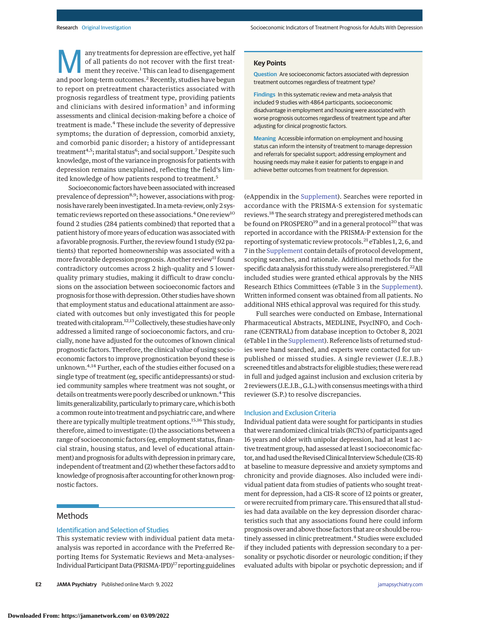any treatments for depression are effective, yet half<br>of all patients do not recover with the first treat-<br>ment they receive.<sup>1</sup> This can lead to disengagement<br>and poor long-term outcomes<sup>2</sup> Becontly, studies have begun of all patients do not recover with the first treatand poor long-term outcomes.<sup>2</sup> Recently, studies have begun to report on pretreatment characteristics associated with prognosis regardless of treatment type, providing patients and clinicians with desired information<sup>3</sup> and informing assessments and clinical decision-making before a choice of treatment is made.<sup>4</sup> These include the severity of depressive symptoms; the duration of depression, comorbid anxiety, and comorbid panic disorder; a history of antidepressant treatment<sup>4,5</sup>; marital status<sup>6</sup>; and social support.<sup>7</sup> Despite such knowledge, most of the variance in prognosis for patients with depression remains unexplained, reflecting the field's limited knowledge of how patients respond to treatment.<sup>5</sup>

Socioeconomic factors have been associated with increased prevalence of depression<sup>8,9</sup>; however, associations with prognosis have rarely been investigated. In ameta-review, only 2 systematic reviews reported on these associations.<sup>4</sup> One review<sup>10</sup> found 2 studies (284 patients combined) that reported that a patient history of more years of education was associated with a favorable prognosis. Further, the review found 1 study (92 patients) that reported homeownership was associated with a more favorable depression prognosis. Another review<sup>11</sup> found contradictory outcomes across 2 high-quality and 5 lowerquality primary studies, making it difficult to draw conclusions on the association between socioeconomic factors and prognosis for those with depression. Other studies have shown that employment status and educational attainment are associated with outcomes but only investigated this for people treated with citalopram.<sup>12,13</sup> Collectively, these studies have only addressed a limited range of socioeconomic factors, and crucially, none have adjusted for the outcomes of known clinical prognostic factors. Therefore, the clinical value of using socioeconomic factors to improve prognostication beyond these is unknown.4,14 Further, each of the studies either focused on a single type of treatment (eg, specific antidepressants) or studied community samples where treatment was not sought, or details on treatments were poorly described or unknown.<sup>4</sup> This limits generalizability, particularly to primary care, which is both a common route into treatment and psychiatric care, and where there are typically multiple treatment options.15,16 This study, therefore, aimed to investigate: (1) the associations between a range of socioeconomic factors (eg, employment status, financial strain, housing status, and level of educational attainment) and prognosis for adults with depression in primary care, independent of treatment and (2) whether these factors add to knowledge of prognosis after accounting for other known prognostic factors.

# **Methods**

## Identification and Selection of Studies

This systematic review with individual patient data metaanalysis was reported in accordance with the Preferred Reporting Items for Systematic Reviews and Meta-analyses– Individual Participant Data (PRISMA-IPD)17 reporting guidelines **Question** Are socioeconomic factors associated with depression treatment outcomes regardless of treatment type?

**Findings** In this systematic review and meta-analysis that included 9 studies with 4864 participants, socioeconomic disadvantage in employment and housing were associated with worse prognosis outcomes regardless of treatment type and after adjusting for clinical prognostic factors.

**Meaning** Accessible information on employment and housing status can inform the intensity of treatment to manage depression and referrals for specialist support; addressing employment and housing needs may make it easier for patients to engage in and achieve better outcomes from treatment for depression.

(eAppendix in the [Supplement\)](https://jamanetwork.com/journals/jama/fullarticle/10.1001/jamapsychiatry.2022.0100?utm_campaign=articlePDF%26utm_medium=articlePDFlink%26utm_source=articlePDF%26utm_content=jamapsychiatry.2022.0100). Searches were reported in accordance with the PRISMA-S extension for systematic reviews.<sup>18</sup> The search strategy and preregistered methods can be found on PROSPERO<sup>19</sup> and in a general protocol<sup>20</sup> that was reported in accordance with the PRISMA-P extension for the reporting of systematic review protocols.21 eTables 1, 2, 6, and 7 in the [Supplement](https://jamanetwork.com/journals/jama/fullarticle/10.1001/jamapsychiatry.2022.0100?utm_campaign=articlePDF%26utm_medium=articlePDFlink%26utm_source=articlePDF%26utm_content=jamapsychiatry.2022.0100) contain details of protocol development, scoping searches, and rationale. Additional methods for the specific data analysis for this study were also preregistered.<sup>22</sup>All included studies were granted ethical approvals by the NHS Research Ethics Committees (eTable 3 in the [Supplement\)](https://jamanetwork.com/journals/jama/fullarticle/10.1001/jamapsychiatry.2022.0100?utm_campaign=articlePDF%26utm_medium=articlePDFlink%26utm_source=articlePDF%26utm_content=jamapsychiatry.2022.0100). Written informed consent was obtained from all patients. No additional NHS ethical approval was required for this study.

Full searches were conducted on Embase, International Pharmaceutical Abstracts, MEDLINE, PsycINFO, and Cochrane (CENTRAL) from database inception to October 8, 2021 (eTable 1 in the [Supplement\)](https://jamanetwork.com/journals/jama/fullarticle/10.1001/jamapsychiatry.2022.0100?utm_campaign=articlePDF%26utm_medium=articlePDFlink%26utm_source=articlePDF%26utm_content=jamapsychiatry.2022.0100). Reference lists of returned studies were hand searched, and experts were contacted for unpublished or missed studies. A single reviewer (J.E.J.B.) screened titles and abstracts for eligible studies; thesewere read in full and judged against inclusion and exclusion criteria by 2 reviewers (J.E.J.B., G.L.) with consensus meetings with a third reviewer (S.P.) to resolve discrepancies.

## Inclusion and Exclusion Criteria

Individual patient data were sought for participants in studies that were randomized clinical trials (RCTs) of participants aged 16 years and older with unipolar depression, had at least 1 active treatment group, had assessed at least 1 socioeconomic factor, and had used the Revised Clinical Interview Schedule (CIS-R) at baseline to measure depressive and anxiety symptoms and chronicity and provide diagnoses. Also included were individual patient data from studies of patients who sought treatment for depression, had a CIS-R score of 12 points or greater, or were recruited from primary care. This ensured that all studies had data available on the key depression disorder characteristics such that any associations found here could inform prognosis over and above those factors that are or should be routinely assessed in clinic pretreatment.<sup>4</sup> Studies were excluded if they included patients with depression secondary to a personality or psychotic disorder or neurologic condition; if they evaluated adults with bipolar or psychotic depression; and if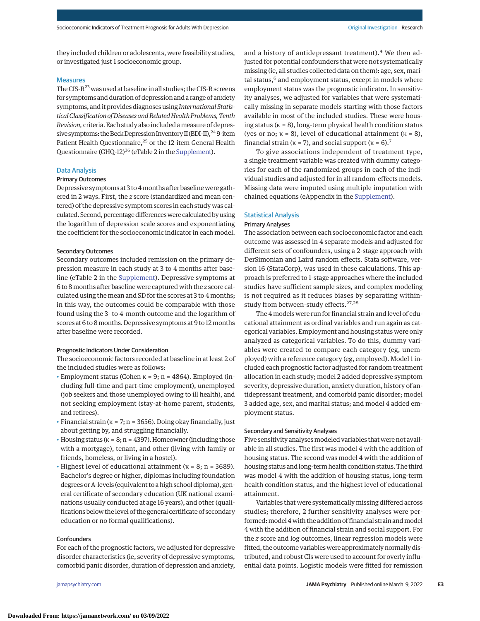they included children or adolescents, were feasibility studies, or investigated just 1 socioeconomic group.

#### **Measures**

The CIS- $R^{23}$  was used at baseline in all studies; the CIS-R screens for symptoms and duration of depression and a range of anxiety symptoms, and it provides diagnoses using *International StatisticalClassification of Diseases andRelatedHealth Problems,Tenth Revision,* criteria. Each study also included ameasure of depressive symptoms: the Beck Depression Inventory II (BDI-II),  $^{24}$  9-item Patient Health Questionnaire,<sup>25</sup> or the 12-item General Health Questionnaire (GHQ-12)<sup>26</sup> (eTable 2 in the [Supplement\)](https://jamanetwork.com/journals/jama/fullarticle/10.1001/jamapsychiatry.2022.0100?utm_campaign=articlePDF%26utm_medium=articlePDFlink%26utm_source=articlePDF%26utm_content=jamapsychiatry.2022.0100).

#### Data Analysis

## Primary Outcomes

Depressive symptoms at 3 to 4months after baseline were gathered in 2 ways. First, the *z* score (standardized and mean centered) of the depressive symptom scores in each study was calculated. Second, percentage differences were calculated by using the logarithm of depression scale scores and exponentiating the coefficient for the socioeconomic indicator in each model.

## Secondary Outcomes

Secondary outcomes included remission on the primary depression measure in each study at 3 to 4 months after baseline (eTable 2 in the [Supplement\)](https://jamanetwork.com/journals/jama/fullarticle/10.1001/jamapsychiatry.2022.0100?utm_campaign=articlePDF%26utm_medium=articlePDFlink%26utm_source=articlePDF%26utm_content=jamapsychiatry.2022.0100). Depressive symptoms at 6 to 8months after baseline were captured with the *z* score calculated using the mean and SD for the scores at 3 to 4 months; in this way, the outcomes could be comparable with those found using the 3- to 4-month outcome and the logarithm of scores at 6 to 8 months. Depressive symptoms at 9 to 12 months after baseline were recorded.

## Prognostic Indicators Under Consideration

The socioeconomic factors recorded at baseline in at least 2 of the included studies were as follows:

- Employment status (Cohen  $\kappa = 9$ ; n = 4864). Employed (including full-time and part-time employment), unemployed (job seekers and those unemployed owing to ill health), and not seeking employment (stay-at-home parent, students, and retirees).
- Financial strain ( $k = 7; n = 3656$ ). Doing okay financially, just about getting by, and struggling financially.
- Housing status ( $k = 8$ ; n = 4397). Homeowner (including those with a mortgage), tenant, and other (living with family or friends, homeless, or living in a hostel).
- Highest level of educational attainment ( $k = 8$ ; n = 3689). Bachelor's degree or higher, diplomas including foundation degrees or A-levels (equivalent to a high school diploma), general certificate of secondary education (UK national examinations usually conducted at age 16 years), and other (qualifications below the level of the general certificate of secondary education or no formal qualifications).

## **Confounders**

For each of the prognostic factors, we adjusted for depressive disorder characteristics (ie, severity of depressive symptoms, comorbid panic disorder, duration of depression and anxiety,

and a history of antidepressant treatment).<sup>4</sup> We then adjusted for potential confounders that were not systematically missing (ie, all studies collected data on them): age, sex, marital status,<sup>6</sup> and employment status, except in models where employment status was the prognostic indicator. In sensitivity analyses, we adjusted for variables that were systematically missing in separate models starting with those factors available in most of the included studies. These were housing status ( $k = 8$ ), long-term physical health condition status (yes or no;  $\kappa = 8$ ), level of educational attainment ( $\kappa = 8$ ), financial strain ( $\kappa$  = 7), and social support ( $\kappa$  = 6).<sup>7</sup>

To give associations independent of treatment type, a single treatment variable was created with dummy categories for each of the randomized groups in each of the individual studies and adjusted for in all random-effects models. Missing data were imputed using multiple imputation with chained equations (eAppendix in the [Supplement\)](https://jamanetwork.com/journals/jama/fullarticle/10.1001/jamapsychiatry.2022.0100?utm_campaign=articlePDF%26utm_medium=articlePDFlink%26utm_source=articlePDF%26utm_content=jamapsychiatry.2022.0100).

## Statistical Analysis

## Primary Analyses

The association between each socioeconomic factor and each outcome was assessed in 4 separate models and adjusted for different sets of confounders, using a 2-stage approach with DerSimonian and Laird random effects. Stata software, version 16 (StataCorp), was used in these calculations. This approach is preferred to 1-stage approaches where the included studies have sufficient sample sizes, and complex modeling is not required as it reduces biases by separating withinstudy from between-study effects.<sup>27,28</sup>

The 4models were run for financial strain and level of educational attainment as ordinal variables and run again as categorical variables. Employment and housing status were only analyzed as categorical variables. To do this, dummy variables were created to compare each category (eg, unemployed) with a reference category (eg, employed). Model 1 included each prognostic factor adjusted for random treatment allocation in each study; model 2 added depressive symptom severity, depressive duration, anxiety duration, history of antidepressant treatment, and comorbid panic disorder; model 3 added age, sex, and marital status; and model 4 added employment status.

## Secondary and Sensitivity Analyses

Five sensitivity analyses modeled variables that were not available in all studies. The first was model 4 with the addition of housing status. The second was model 4 with the addition of housing status and long-term health condition status. The third was model 4 with the addition of housing status, long-term health condition status, and the highest level of educational attainment.

Variables that were systematically missing differed across studies; therefore, 2 further sensitivity analyses were performed: model 4 with the addition of financial strain and model 4 with the addition of financial strain and social support. For the *z* score and log outcomes, linear regression models were fitted, the outcome variables were approximately normally distributed, and robust CIs were used to account for overly influential data points. Logistic models were fitted for remission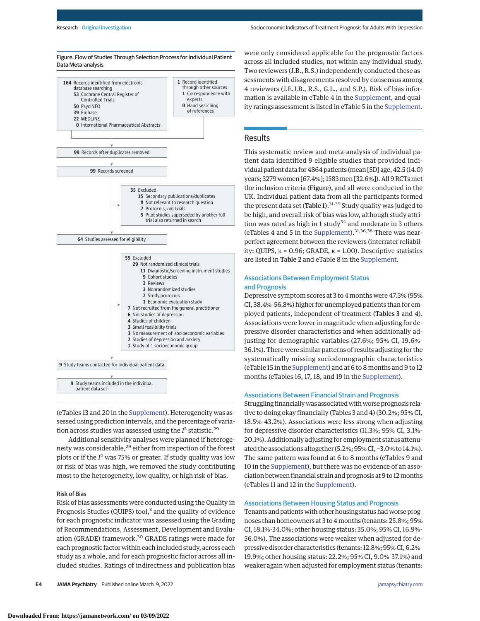

(eTables 13 and 20 in the [Supplement\)](https://jamanetwork.com/journals/jama/fullarticle/10.1001/jamapsychiatry.2022.0100?utm_campaign=articlePDF%26utm_medium=articlePDFlink%26utm_source=articlePDF%26utm_content=jamapsychiatry.2022.0100). Heterogeneity was assessed using prediction intervals, and the percentage of variation across studies was assessed using the  $I^2$  statistic.<sup>29</sup>

Additional sensitivity analyses were planned if heterogeneity was considerable,<sup>29</sup> either from inspection of the forest plots or if the *I* <sup>2</sup> was 75% or greater. If study quality was low or risk of bias was high, we removed the study contributing most to the heterogeneity, low quality, or high risk of bias.

#### Risk of Bias

Risk of bias assessments were conducted using the Quality in Prognosis Studies (QUIPS) tool,<sup>3</sup> and the quality of evidence for each prognostic indicator was assessed using the Grading of Recommendations, Assessment, Development and Evaluation (GRADE) framework.<sup>30</sup> GRADE ratings were made for each prognostic factor within each included study, across each study as a whole, and for each prognostic factor across all included studies. Ratings of indirectness and publication bias

**E4 JAMA Psychiatry** Published online March 9, 2022 **(Reprinted)** [jamapsychiatry.com](http://www.jamapsychiatry.com?utm_campaign=articlePDF%26utm_medium=articlePDFlink%26utm_source=articlePDF%26utm_content=jamapsychiatry.2022.0100)

were only considered applicable for the prognostic factors across all included studies, not within any individual study. Two reviewers (J.B., R.S.) independently conducted these assessments with disagreements resolved by consensus among 4 reviewers (J.E.J.B., R.S., G.L., and S.P.). Risk of bias information is available in eTable 4 in the [Supplement,](https://jamanetwork.com/journals/jama/fullarticle/10.1001/jamapsychiatry.2022.0100?utm_campaign=articlePDF%26utm_medium=articlePDFlink%26utm_source=articlePDF%26utm_content=jamapsychiatry.2022.0100) and quality ratings assessment is listed in eTable 5 in the [Supplement.](https://jamanetwork.com/journals/jama/fullarticle/10.1001/jamapsychiatry.2022.0100?utm_campaign=articlePDF%26utm_medium=articlePDFlink%26utm_source=articlePDF%26utm_content=jamapsychiatry.2022.0100)

# **Results**

This systematic review and meta-analysis of individual patient data identified 9 eligible studies that provided individual patient data for 4864 patients (mean [SD] age, 42.5 (14.0) years; 3279 women [67.4%]; 1583men [32.6%]). All 9 RCTsmet the inclusion criteria (Figure), and all were conducted in the UK. Individual patient data from all the participants formed the present data set (Table 1).<sup>31-39</sup> Study quality was judged to be high, and overall risk of bias was low, although study attrition was rated as high in 1 study<sup>34</sup> and moderate in 3 others (eTables 4 and 5 in the [Supplement\)](https://jamanetwork.com/journals/jama/fullarticle/10.1001/jamapsychiatry.2022.0100?utm_campaign=articlePDF%26utm_medium=articlePDFlink%26utm_source=articlePDF%26utm_content=jamapsychiatry.2022.0100).31,36,38 There was nearperfect agreement between the reviewers (interrater reliability: QUIPS, κ = 0.96; GRADE, κ = 1.00). Descriptive statistics are listed in Table 2 and eTable 8 in the [Supplement.](https://jamanetwork.com/journals/jama/fullarticle/10.1001/jamapsychiatry.2022.0100?utm_campaign=articlePDF%26utm_medium=articlePDFlink%26utm_source=articlePDF%26utm_content=jamapsychiatry.2022.0100)

# Associations Between Employment Status and Prognosis

Depressive symptom scores at 3 to 4 months were 47.3% (95% CI, 38.4%-56.8%) higher for unemployed patients than for employed patients, independent of treatment (Tables 3 and 4). Associations were lower in magnitude when adjusting for depressive disorder characteristics and when additionally adjusting for demographic variables (27.6%; 95% CI, 19.6%- 36.1%). There were similar patterns of results adjusting for the systematically missing sociodemographic characteristics (eTable 15 in the [Supplement\)](https://jamanetwork.com/journals/jama/fullarticle/10.1001/jamapsychiatry.2022.0100?utm_campaign=articlePDF%26utm_medium=articlePDFlink%26utm_source=articlePDF%26utm_content=jamapsychiatry.2022.0100) and at 6 to 8 months and 9 to 12 months (eTables 16, 17, 18, and 19 in the [Supplement\)](https://jamanetwork.com/journals/jama/fullarticle/10.1001/jamapsychiatry.2022.0100?utm_campaign=articlePDF%26utm_medium=articlePDFlink%26utm_source=articlePDF%26utm_content=jamapsychiatry.2022.0100).

#### Associations Between Financial Strain and Prognosis

Struggling financially was associated with worse prognosis relative to doing okay financially (Tables 3 and 4) (30.2%; 95% CI, 18.5%-43.2%). Associations were less strong when adjusting for depressive disorder characteristics (11.3%; 95% CI, 3.1%- 20.1%). Additionally adjusting for employment status attenuated the associations altogether (5.2%; 95% CI, −3.0% to 14.1%). The same pattern was found at 6 to 8 months (eTables 9 and 10 in the [Supplement\)](https://jamanetwork.com/journals/jama/fullarticle/10.1001/jamapsychiatry.2022.0100?utm_campaign=articlePDF%26utm_medium=articlePDFlink%26utm_source=articlePDF%26utm_content=jamapsychiatry.2022.0100), but there was no evidence of an association between financial strain and prognosis at 9 to 12 months (eTables 11 and 12 in the [Supplement\)](https://jamanetwork.com/journals/jama/fullarticle/10.1001/jamapsychiatry.2022.0100?utm_campaign=articlePDF%26utm_medium=articlePDFlink%26utm_source=articlePDF%26utm_content=jamapsychiatry.2022.0100).

## Associations Between Housing Status and Prognosis

Tenants and patients with other housing status had worse prognoses than homeowners at 3 to 4months (tenants: 25.8%; 95% CI, 18.1%-34.0%; other housing status: 35.0%; 95% CI, 16.9%- 56.0%). The associations were weaker when adjusted for depressive disorder characteristics (tenants: 12.8%; 95% CI, 6.2%- 19.9%; other housing status: 22.2%; 95% CI, 9.0%-37.1%) and weaker again when adjusted for employment status (tenants: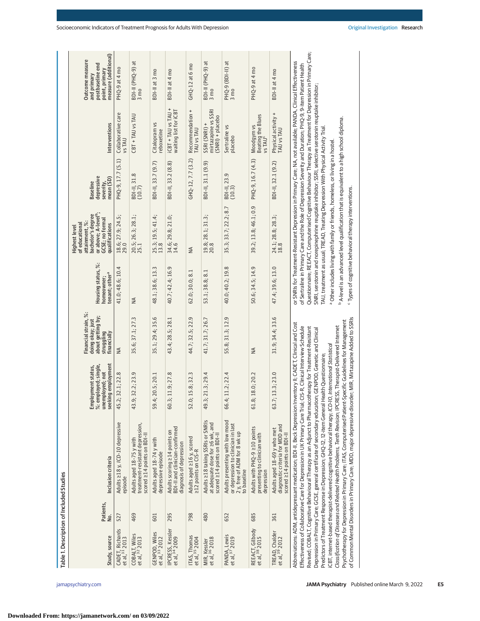| Table 1. Description of Included Studies      |                  |                                                                                                                                                                                                                                                                                                                                                                                                                                                                                                                                                                                                                                                                                                                                                                                                                                                                                                                                                                                                                      |                                                                                     |                                                                                            |                                                                |                                                                                                                                                                                                                                                                                                                                                                                                                                                                                                                                                                                                                                                                                                                                                                                                                      |                                                         |                                                          |                                                                                              |
|-----------------------------------------------|------------------|----------------------------------------------------------------------------------------------------------------------------------------------------------------------------------------------------------------------------------------------------------------------------------------------------------------------------------------------------------------------------------------------------------------------------------------------------------------------------------------------------------------------------------------------------------------------------------------------------------------------------------------------------------------------------------------------------------------------------------------------------------------------------------------------------------------------------------------------------------------------------------------------------------------------------------------------------------------------------------------------------------------------|-------------------------------------------------------------------------------------|--------------------------------------------------------------------------------------------|----------------------------------------------------------------|----------------------------------------------------------------------------------------------------------------------------------------------------------------------------------------------------------------------------------------------------------------------------------------------------------------------------------------------------------------------------------------------------------------------------------------------------------------------------------------------------------------------------------------------------------------------------------------------------------------------------------------------------------------------------------------------------------------------------------------------------------------------------------------------------------------------|---------------------------------------------------------|----------------------------------------------------------|----------------------------------------------------------------------------------------------|
| Study, source                                 | Patients,<br>ρò. | Inclusion criteria                                                                                                                                                                                                                                                                                                                                                                                                                                                                                                                                                                                                                                                                                                                                                                                                                                                                                                                                                                                                   | %: employed; single,<br>seeking employment<br>Employment status,<br>unemployed; not | Financial strain, %:<br>about getting by;<br>doing okay; just<br>struggling<br>financially | Housing status, %:<br>tenant; other <sup>a</sup><br>homeowner; | or above; A-level <sup>b</sup> ;<br>bachelor's degree<br>GCSE; no formal<br>attainment, %:<br>qualifications<br>of educational<br>Highest level                                                                                                                                                                                                                                                                                                                                                                                                                                                                                                                                                                                                                                                                      | depressive<br>mean (SD)<br><b>Baseline</b><br>severity, | Interventions                                            | measure (additional)<br>Outcome measure<br>postbaseline end<br>point, primary<br>and primary |
| CADET, Richards<br>et al, <sup>31</sup> 2013  | 527              | Adults ≥18 y, ICD-10 depressive<br>episode                                                                                                                                                                                                                                                                                                                                                                                                                                                                                                                                                                                                                                                                                                                                                                                                                                                                                                                                                                           | 45.2; 32.1; 22.8                                                                    | $\leq$                                                                                     | 41.0; 48.6; 10.4                                               | 18.6; 27.9; 24.5;<br>29.0                                                                                                                                                                                                                                                                                                                                                                                                                                                                                                                                                                                                                                                                                                                                                                                            | PHQ-9, 17.7 (5.1)                                       | Collaborative care<br>VS TAU                             | PHQ-9 at 4 mo                                                                                |
| COBALT, Wiles<br>et al, 32 2013               | 469              | treatment-resistant depression,<br>scored 214 points on BDI-II<br>Adults aged 18-75 y with                                                                                                                                                                                                                                                                                                                                                                                                                                                                                                                                                                                                                                                                                                                                                                                                                                                                                                                           | 9; 32.2; 23.9<br>43.                                                                | 35.6; 37.1; 27.3                                                                           | $\leq$                                                         | 20.5; 26.3; 28.1;<br>25.1                                                                                                                                                                                                                                                                                                                                                                                                                                                                                                                                                                                                                                                                                                                                                                                            | BDI-II, 31.8<br>(10.7)                                  | CBT + TAU vs TAU                                         | BDI-II (PHQ-9) at<br>3 mo                                                                    |
| GENPOD, Wiles<br>et al, 33 2012               | 601              | Adults aged 18-74 y with<br>depressive episode                                                                                                                                                                                                                                                                                                                                                                                                                                                                                                                                                                                                                                                                                                                                                                                                                                                                                                                                                                       | 59.4; 20.5; 20.1                                                                    | 35.1; 29.4; 35.6                                                                           | 48.1; 38.6; 13.3                                               | 25.3; 19.5; 41.4;<br>13.8                                                                                                                                                                                                                                                                                                                                                                                                                                                                                                                                                                                                                                                                                                                                                                                            | BDI-II, 33.7 (9.7)                                      | Citalopram vs<br>eboxetine                               | BDI-II at 3 mo                                                                               |
| IPCRESS, Kessler<br>et al, <sup>34</sup> 2009 | 295              | BDI-II and clinician-confirmed<br>Adults scoring ≥14 points on<br>diagnosis of depression                                                                                                                                                                                                                                                                                                                                                                                                                                                                                                                                                                                                                                                                                                                                                                                                                                                                                                                            | 3; 11.9; 27.8<br>60.                                                                | 43.4; 28.5; 28.1                                                                           | 40.7; 42.4; 16.9                                               | $34.6; 29.8; 21.0;$<br>14.6                                                                                                                                                                                                                                                                                                                                                                                                                                                                                                                                                                                                                                                                                                                                                                                          | BDI-II, 33.2 (8.8)                                      | iCBT + TAU vs TAU +<br>waiting list for iCBT             | BDI-II at 4 mo                                                                               |
| ITAS, Thomas<br>et al, 35 2004                | 798              | Adults aged 216 y, scored<br>212 points on CIS-R                                                                                                                                                                                                                                                                                                                                                                                                                                                                                                                                                                                                                                                                                                                                                                                                                                                                                                                                                                     | 52.0; 15.8; 32.3                                                                    | 44.7; 32.5; 22.9                                                                           | 62.0; 30.0; 8.1                                                | $\frac{4}{2}$                                                                                                                                                                                                                                                                                                                                                                                                                                                                                                                                                                                                                                                                                                                                                                                                        | GHQ-12, 7.7(3.2)                                        | Recommendation +<br><b>TAU vs TAU</b>                    | GHQ-12 at 6 mo                                                                               |
| MIR, Kessler<br>et al, <sup>36</sup> 2018     | 480              | Adults ≥18 taking SSRIs or SNRIs<br>at adequate dose for 26 wk, and<br>scored 214 points on BDI-II                                                                                                                                                                                                                                                                                                                                                                                                                                                                                                                                                                                                                                                                                                                                                                                                                                                                                                                   | 3; 21.3; 29.4<br>49.                                                                | 41.7; 31.7; 26.7                                                                           | 53.1; 38.8; 8.1                                                | $19.8; 28.1; 31.3;$<br>20.8                                                                                                                                                                                                                                                                                                                                                                                                                                                                                                                                                                                                                                                                                                                                                                                          | BDI-II, 31.1 (9.9)                                      | mirtazapine vs SSRI<br>(SNRI) + placebo<br>SSRI (SNRI) + | BDI-II (PHQ-9) at<br>3 <sub>mo</sub>                                                         |
| PANDA, Lewis<br>et al, 37 2019                | 652              | Adults presenting with low mood<br>or depression to clinician in last<br>2 y, free of ADM for 8 wk up<br>to baseline                                                                                                                                                                                                                                                                                                                                                                                                                                                                                                                                                                                                                                                                                                                                                                                                                                                                                                 | 66.4; 11.2; 22.4                                                                    | 55.8; 31.3; 12.9                                                                           | 40.0; 40.2; 19.8                                               | 35.3; 33.7; 22.2; 8.7                                                                                                                                                                                                                                                                                                                                                                                                                                                                                                                                                                                                                                                                                                                                                                                                | BDI-II, 23.9<br>(10.3)                                  | Sertraline vs<br>placebo                                 | PHQ-9 (BDI-II) at<br>3 mo                                                                    |
| REEACT, Gilbody<br>et al, <sup>38</sup> 2015  | 685              | Adults with PHQ-9 ≥10 points<br>presenting to clinician with<br>depression                                                                                                                                                                                                                                                                                                                                                                                                                                                                                                                                                                                                                                                                                                                                                                                                                                                                                                                                           | 61.8; 18.0; 20.2                                                                    | $\leq$                                                                                     | 50.6; 34.5; 14.9                                               | 39.2; 13.8; 46.1; 0.9                                                                                                                                                                                                                                                                                                                                                                                                                                                                                                                                                                                                                                                                                                                                                                                                | PHQ-9, 16.7 (4.3)                                       | Beating the Blues<br>vs TAU <sup>c</sup><br>Moodgym vs   | PHQ-9 at 4 mo                                                                                |
| TREAD, Chalder<br>et al, <sup>39</sup> 2012   | 361              | diagnostic criteria for MDD and<br>Adults aged 18-69 y who met<br>scored 214 points on BDI-II                                                                                                                                                                                                                                                                                                                                                                                                                                                                                                                                                                                                                                                                                                                                                                                                                                                                                                                        | 7; 13.3; 23.0<br>63.                                                                | 31.9; 34.4; 33.6                                                                           | 47.4; 39.6; 13.0                                               | $24.1; 28.8; 28.3;$<br>18.8                                                                                                                                                                                                                                                                                                                                                                                                                                                                                                                                                                                                                                                                                                                                                                                          | BDI-II, 32.1 (9.2)                                      | Physical activity +<br>TAU vs TAU                        | BDI-II at 4 mo                                                                               |
|                                               |                  | of Common Mental Disorders in Primary Care; MDD, major depressive disorder; MIR, Mirtazapine Added to SSRIs<br>Psychotherapy for Depression in Primary Care; ITAS, Computerised Patient-Specific Guidelines for Management<br>Abbreviations: ADM, antidepressant medication: BDI-II, Beck Depression Inventory II; CADET, Clinical and Cost<br>Classification of Diseases and Related Health Problems, Tenth Revision: IPCRESS, Therapist-Delivered Internet<br>Effectiveness of Collaborative Care for Depression in UK Primary Care Trial; CIS-R, Clinical Interview Schedule<br>Revised; COBALT, Cognitive Behavioural Therapy as an Adjunct to Pharmacotherapy for Treatment-Resistant<br>Depression in Primary Care; GCSE, general certificate of secondary education; GENPOD, Genetic and Clinical<br>CBT, internet-based therapist-delivered cognitive behavioral therapy, ICD-10, International Statistical<br>Predictors of Treatment Response in Depression; GHQ-12, 12-item General Health Questionnaire; |                                                                                     |                                                                                            |                                                                | Questionnaire: REEACT, Computerised Cognitive Behaviour Therapy as Treatment for Depression in Primary Care:<br>or SNRIs for Treatment-Resistant Depression in Primary Care; NA, not available; PANDA, Clinical Effectiveness<br>of Sertraline in Primary Care and the Role of Depression Severity and Duration; PHQ-9, 9-item Patient Health<br>SNRI, serotonin and norepinephrine reuptake inhibitor; SSRI, selective serotonin reuptake inhibitor;<br><sup>b</sup> A-level is an advanced level qualification that is equivalent to a high school diploma.<br>[AU, treatment as usual; TREAD, Treating Depression With Physical Activity Trial<br><sup>a</sup> Other includes living with family or friends, homeless, or living in a hostel<br><sup>c</sup> Types of cognitive behavioral therapy interventions. |                                                         |                                                          |                                                                                              |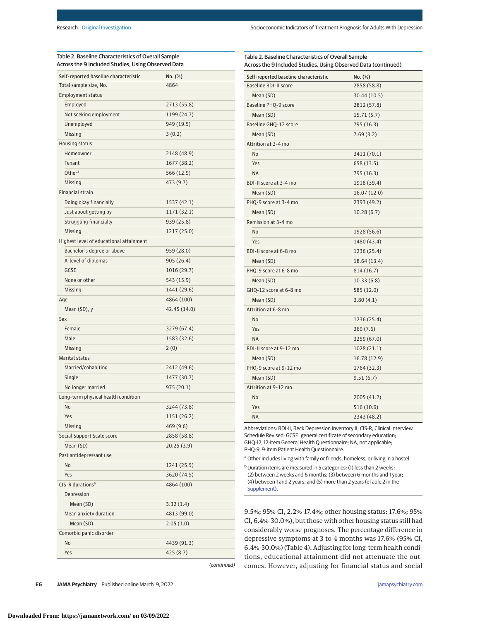| Table 2. Baseline Characteristics of Overall Sample<br>Across the 9 Included Studies, Using Observed Data |              |
|-----------------------------------------------------------------------------------------------------------|--------------|
| Self-reported baseline characteristic                                                                     | No. (%)      |
| Total sample size, No.                                                                                    | 4864         |
| <b>Employment status</b>                                                                                  |              |
| Employed                                                                                                  | 2713 (55.8)  |
| Not seeking employment                                                                                    | 1199 (24.7)  |
| Unemployed                                                                                                | 949 (19.5)   |
| Missing                                                                                                   | 3(0.2)       |
| Housing status                                                                                            |              |
| Homeowner                                                                                                 | 2148 (48.9)  |
| Tenant                                                                                                    | 1677 (38.2)  |
| Other <sup>a</sup>                                                                                        | 566 (12.9)   |
| Missing                                                                                                   | 473 (9.7)    |
| <b>Financial strain</b>                                                                                   |              |
| Doing okay financially                                                                                    | 1537 (42.1)  |
| Just about getting by                                                                                     | 1171 (32.1)  |
| Struggling financially                                                                                    | 939 (25.8)   |
| Missing                                                                                                   | 1217 (25.0)  |
| Highest level of educational attainment                                                                   |              |
| Bachelor's degree or above                                                                                | 959 (28.0)   |
| A-level of diplomas                                                                                       | 905 (26.4)   |
| <b>GCSE</b>                                                                                               | 1016 (29.7)  |
| None or other                                                                                             | 543 (15.9)   |
| Missing                                                                                                   | 1441 (29.6)  |
| Age                                                                                                       | 4864 (100)   |
| Mean (SD), y                                                                                              | 42.45 (14.0) |
| Sex                                                                                                       |              |
| Female                                                                                                    | 3279 (67.4)  |
| Male                                                                                                      | 1583 (32.6)  |
| Missing                                                                                                   | 2(0)         |
| <b>Marital status</b>                                                                                     |              |
| Married/cohabiting                                                                                        | 2412 (49.6)  |
| Single                                                                                                    | 1477 (30.7)  |
| No longer married                                                                                         | 975(20.1)    |
| Long-term physical health condition                                                                       |              |
| No                                                                                                        | 3244 (73.8)  |
| Yes                                                                                                       | 1151 (26.2)  |
| Missing                                                                                                   | 469 (9.6)    |
| Social Support Scale score                                                                                | 2858 (58.8)  |
| Mean (SD)                                                                                                 | 20.25(3.9)   |
| Past antidepressant use                                                                                   |              |
| No                                                                                                        | 1241 (25.5)  |
| Yes                                                                                                       | 3620 (74.5)  |
| CIS-R durations <sup>b</sup>                                                                              | 4864 (100)   |
|                                                                                                           |              |
| Depression                                                                                                |              |
| Mean (SD)                                                                                                 | 3.32(1.4)    |
| Mean anxiety duration                                                                                     | 4813 (99.0)  |
| Mean (SD)                                                                                                 | 2.05(1.0)    |
| Comorbid panic disorder                                                                                   |              |
| No                                                                                                        | 4439 (91.3)  |
| Yes                                                                                                       | 425 (8.7)    |

| Self-reported baseline characteristic | No. (%)      |
|---------------------------------------|--------------|
| <b>Baseline BDI-II score</b>          | 2858 (58.8)  |
| Mean (SD)                             | 30.44 (10.5) |
| Baseline PHQ-9 score                  | 2812 (57.8)  |
| Mean (SD)                             | 15.71(5.7)   |
| Baseline GHQ-12 score                 | 795 (16.3)   |
| Mean (SD)                             | 7.69(3.2)    |
| Attrition at 3-4 mo                   |              |
| <b>No</b>                             | 3411 (70.1)  |
| Yes                                   | 658 (13.5)   |
| <b>NA</b>                             | 795 (16.3)   |
| BDI-II score at 3-4 mo                | 1918 (39.4)  |
| Mean (SD)                             | 16.07 (12.0) |
| PHQ-9 score at 3-4 mo                 | 2393 (49.2)  |
| Mean (SD)                             | 10.28(6.7)   |
| Remission at 3-4 mo                   |              |
| No                                    | 1928 (56.6)  |
| Yes                                   | 1480 (43.4)  |
| BDI-II score at 6-8 mo                | 1236 (25.4)  |
| Mean (SD)                             | 18.64 (13.4) |
| PHQ-9 score at 6-8 mo                 | 814 (16.7)   |
| Mean (SD)                             | 10.33(6.8)   |
| GHQ-12 score at 6-8 mo                | 585 (12.0)   |
| Mean (SD)                             | 3.80(4.1)    |
| Attrition at 6-8 mo                   |              |
| No                                    | 1236 (25.4)  |
| Yes                                   | 369(7.6)     |
| ΝA                                    | 3259 (67.0)  |
| BDI-II score at 9-12 mo               | 1028 (21.1)  |
| Mean (SD)                             | 16.78 (12.9) |
| PHQ-9 score at 9-12 mo                | 1764 (32.3)  |
| Mean (SD)                             | 9.51(6.7)    |
| Attrition at 9-12 mo                  |              |
| <b>No</b>                             | 2005 (41.2)  |
| Yes                                   | 516 (10.6)   |
| <b>NA</b>                             | 2343 (48.2)  |

Abbreviations: BDI-II, Beck Depression Inventory II; CIS-R, Clinical Interview Schedule Revised; GCSE, general certificate of secondary education; GHQ-12, 12-item General Health Questionnaire; NA, not applicable; PHQ-9, 9-item Patient Health Questionnaire.

<sup>a</sup> Other includes living with family or friends, homeless, or living in a hostel.

b Duration items are measured in 5 categories: (1) less than 2 weeks; (2) between 2 weeks and 6 months; (3) between 6 months and 1 year; (4) between 1 and 2 years; and (5) more than 2 years (eTable 2 in the [Supplement\)](https://jamanetwork.com/journals/jama/fullarticle/10.1001/jamapsychiatry.2022.0100?utm_campaign=articlePDF%26utm_medium=articlePDFlink%26utm_source=articlePDF%26utm_content=jamapsychiatry.2022.0100).

9.5%; 95% CI, 2.2%-17.4%; other housing status: 17.6%; 95% CI, 6.4%-30.0%), but those with other housing status still had considerably worse prognoses. The percentage difference in depressive symptoms at 3 to 4 months was 17.6% (95% CI, 6.4%-30.0%) (Table 4). Adjusting for long-term health conditions, educational attainment did not attenuate the outcomes. However, adjusting for financial status and social

(continued)

**E6 JAMA Psychiatry** Published online March 9, 2022 **(Reprinted)** [jamapsychiatry.com](http://www.jamapsychiatry.com?utm_campaign=articlePDF%26utm_medium=articlePDFlink%26utm_source=articlePDF%26utm_content=jamapsychiatry.2022.0100)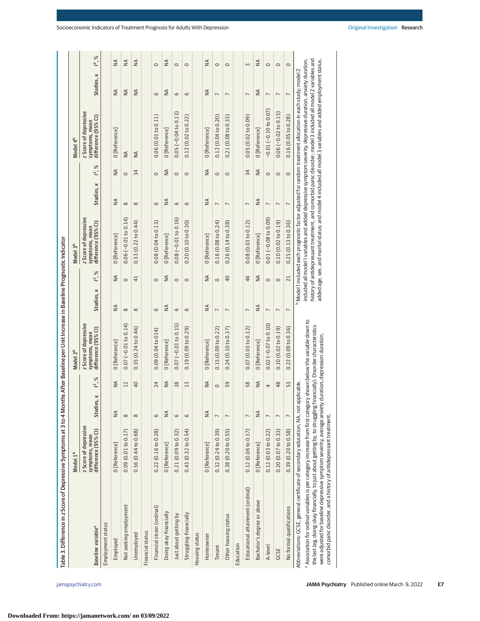| Table 3. Difference in z Score of Depressive Symptoms at 3 to 4 Months After Baseline per Unit Increase in Baseline Prognostic Indicator                                                                                                                                                                                                                                |                                                                |                |                                   |                                                                         |                |                 |                                                                |                |                            |                                                                                                                                                                                                                                                                                                                                                                                                                                                        |                |             |
|-------------------------------------------------------------------------------------------------------------------------------------------------------------------------------------------------------------------------------------------------------------------------------------------------------------------------------------------------------------------------|----------------------------------------------------------------|----------------|-----------------------------------|-------------------------------------------------------------------------|----------------|-----------------|----------------------------------------------------------------|----------------|----------------------------|--------------------------------------------------------------------------------------------------------------------------------------------------------------------------------------------------------------------------------------------------------------------------------------------------------------------------------------------------------------------------------------------------------------------------------------------------------|----------------|-------------|
|                                                                                                                                                                                                                                                                                                                                                                         | Model 1 <sup>b</sup>                                           |                |                                   | Model 2 <sup>b</sup>                                                    |                |                 | Model 3 <sup>b</sup>                                           |                |                            | Model 4 <sup>b</sup>                                                                                                                                                                                                                                                                                                                                                                                                                                   |                |             |
| Baseline variable <sup>a</sup>                                                                                                                                                                                                                                                                                                                                          | z Score of depressive<br>difference (95% CI)<br>symptoms, mean | Studies, K     | $\frac{6}{6}$<br>۱ <sup>2</sup> . | z Score of depressive<br>difference (95% CI)<br>symptoms, mean          | Studies, K     | $\approx$<br>Ľ, | z Score of depressive<br>difference (95% CI)<br>symptoms, mean | ×<br>Studies,  | $\approx$<br>$\tilde{f}$ . | z Score of depressive<br>difference (95% CI)<br>symptoms, mean                                                                                                                                                                                                                                                                                                                                                                                         | Studies, K     | $1^{2}$ , % |
| Employment status                                                                                                                                                                                                                                                                                                                                                       |                                                                |                |                                   |                                                                         |                |                 |                                                                |                |                            |                                                                                                                                                                                                                                                                                                                                                                                                                                                        |                |             |
| Employed                                                                                                                                                                                                                                                                                                                                                                | 0 [Reference]                                                  | $\leq$         | $\leq$                            | 0 [Reference]                                                           | $\leq$         | $\frac{4}{2}$   | 0 [Reference]                                                  | $\leq$         | $\leq$                     | 0[Reference]                                                                                                                                                                                                                                                                                                                                                                                                                                           | $\leq$         | $\leq$      |
| Not seeking employment                                                                                                                                                                                                                                                                                                                                                  | 0.09(0.01 to 0.17)                                             | $\infty$       | 12                                | $0.07 (-0.01 to 0.14)$                                                  | $\infty$       | $\circ$         | $0.06 (-0.01 to 0.14)$                                         | $\infty$       | $\circ$                    | $\leq$                                                                                                                                                                                                                                                                                                                                                                                                                                                 | $\leq$         | $\leq$      |
| Unemployed                                                                                                                                                                                                                                                                                                                                                              | 0.56(0.44 to 0.68)                                             | $\infty$       | 40                                | 0.35(0.24 to 0.46)                                                      | $\infty$       | $\overline{41}$ | 0.33(0.22 to 0.44)                                             | $\infty$       | 34                         | $\frac{4}{2}$                                                                                                                                                                                                                                                                                                                                                                                                                                          | ₹              | ₹           |
| Financial status                                                                                                                                                                                                                                                                                                                                                        |                                                                |                |                                   |                                                                         |                |                 |                                                                |                |                            |                                                                                                                                                                                                                                                                                                                                                                                                                                                        |                |             |
| Financial strain (ordinal)                                                                                                                                                                                                                                                                                                                                              | 0.22(0.16 to 0.28)                                             | 6              | 24                                | 0.09(0.04 to 014)                                                       | 6              | $\circ$         | 0.08(0.04 to 0.13)                                             | 6              | $\circ$                    | 0.06(0.01 to 0.11)                                                                                                                                                                                                                                                                                                                                                                                                                                     | 6              | $\circ$     |
| Doing okay financially                                                                                                                                                                                                                                                                                                                                                  | 0 [Reference]                                                  | $\leq$         | $\frac{4}{2}$                     | 0 [Reference]                                                           | $\frac{4}{2}$  | $\leq$          | 0 [Reference]                                                  | $\frac{4}{2}$  | $\frac{4}{2}$              | 0[Reference]                                                                                                                                                                                                                                                                                                                                                                                                                                           | ₹              | $\leq$      |
| Just about getting by                                                                                                                                                                                                                                                                                                                                                   | 0.21(0.09 to 0.32)                                             | 6              | 38                                | $0.07 (-0.01 to 0.15)$                                                  | 6              | $\circ$         | $0.08$ ( $-0.01$ to $0.16$ )                                   | 6              | $\circ$                    | $0.05(-0.04 to 0.13)$                                                                                                                                                                                                                                                                                                                                                                                                                                  | 6              | $\circ$     |
| Struggling financially                                                                                                                                                                                                                                                                                                                                                  | 0.43(0.32 to 0.54)                                             | 6              | 13                                | 0.19(0.09 to 0.29)                                                      | 6              | $\circ$         | 0.20(0.10 to 0.30)                                             | 6              | $\circ$                    | 0.12(0.02 to 0.22)                                                                                                                                                                                                                                                                                                                                                                                                                                     | 6              | $\circ$     |
| Housing status                                                                                                                                                                                                                                                                                                                                                          |                                                                |                |                                   |                                                                         |                |                 |                                                                |                |                            |                                                                                                                                                                                                                                                                                                                                                                                                                                                        |                |             |
| Homeowner                                                                                                                                                                                                                                                                                                                                                               | 0 [Reference]                                                  | ₹              | $\frac{4}{2}$                     | 0 [Reference]                                                           | $\leq$         | ₹               | 0 [Reference]                                                  | $\frac{4}{2}$  | $\frac{4}{2}$              | 0 [Reference]                                                                                                                                                                                                                                                                                                                                                                                                                                          | $\leq$         | ₹           |
| Tenant                                                                                                                                                                                                                                                                                                                                                                  | 0.32(0.24 to 0.39)                                             | $\overline{ }$ | $\circ$                           | 0.15(0.09 to 0.22)                                                      | $\overline{ }$ | $\circ$         | 0.16(0.08 to 0.24)                                             | $\overline{ }$ | $\circ$                    | 0.12(0.04 to 0.20)                                                                                                                                                                                                                                                                                                                                                                                                                                     | $\overline{ }$ | $\circ$     |
| Other housing status                                                                                                                                                                                                                                                                                                                                                    | 0.38(0.20 to 0.55)                                             | $\overline{ }$ | 59                                | 0.24(0.10 to 0.37)                                                      | $\overline{ }$ | 40              | 0.26(0.14 to 0.38)                                             | $\overline{ }$ | $\circ$                    | 0.21(0.08 to 0.33)                                                                                                                                                                                                                                                                                                                                                                                                                                     | $\overline{ }$ | $\circ$     |
| Education                                                                                                                                                                                                                                                                                                                                                               |                                                                |                |                                   |                                                                         |                |                 |                                                                |                |                            |                                                                                                                                                                                                                                                                                                                                                                                                                                                        |                |             |
| Educational attainment (ordinal)                                                                                                                                                                                                                                                                                                                                        | 0.12(0.06 to 0.17)                                             | $\overline{ }$ | 58                                | 0.07(0.03 to 0.12)                                                      | $\overline{ }$ | 46              | 0.08(0.03 to 0.12)                                             | $\overline{ }$ | 34                         | 0.05(0.02 to 0.09)                                                                                                                                                                                                                                                                                                                                                                                                                                     | $\overline{ }$ | $\sim$      |
| Bachelor's degree or above                                                                                                                                                                                                                                                                                                                                              | 0 [Reference]                                                  | ₹              | $\frac{4}{2}$                     | 0 [Reference]                                                           | $\leq$         | ₹               | 0 [Reference]                                                  | $\frac{4}{2}$  | $\frac{4}{2}$              | 0 [Reference]                                                                                                                                                                                                                                                                                                                                                                                                                                          | $\leq$         | ₹           |
| A-level                                                                                                                                                                                                                                                                                                                                                                 | 0.12(0.03 to 0.22)                                             | $\overline{ }$ | 4                                 | $0.02(-0.07 to 0.10)$                                                   | $\overline{ }$ | $\circ$         | $0.01 (-0.08 to 0.09)$                                         | $\overline{ }$ | $\circ$                    | $-0.01(-0.10 to 0.07)$                                                                                                                                                                                                                                                                                                                                                                                                                                 | $\overline{ }$ | $\circ$     |
| GCSE                                                                                                                                                                                                                                                                                                                                                                    | 0.20(0.07 to 0.33)                                             | $\overline{ }$ | 48                                | 0.10(0.02 to 0.19)                                                      | $\overline{ }$ | $\circ$         | 0.10(0.02 to 0.19)                                             | $\overline{ }$ | $\circ$                    | $0.06(-0.02 to 0.15)$                                                                                                                                                                                                                                                                                                                                                                                                                                  | $\overline{ }$ | $\circ$     |
| No formal qualifications                                                                                                                                                                                                                                                                                                                                                | 0.39(0.20 to 0.58)                                             | $\overline{ }$ | 53                                | 0.22(0.09 to 0.36)                                                      | $\overline{ }$ | 21              | 0.25(0.13 to 0.36)                                             | $\overline{ }$ | $\circ$                    | 0.16(0.05 to 0.28)                                                                                                                                                                                                                                                                                                                                                                                                                                     | $\overline{ }$ | $\circ$     |
| a Association for ordinal variables is per category increase from first category shown below the variable down to<br>Abbreviations: GCSE, general certificate of secondary education; NA, not applicable.<br>were adjusted for baseline depressive symptom severity, average anxiety<br>the last (eg, doing okay financially, to just about getting by, to struggling f |                                                                |                |                                   | inancially). Disorder characteristics<br>duration, depression duration, |                |                 |                                                                |                |                            | history of antidepressant treatment, and comorbid panic disorder; model 3 included all model 2 variables and<br>included all model 1 variables and added depressive symptom severity, depressive duration, anxiety duration,<br>added age, sex, and marital status; and model 4 included all model 3 variables and added employment status.<br>Model 1 included each prognostic factor adjusted for random treatment allocation in each study; model 2 |                |             |
| comorbid panic disorder, and a history of antidepressant treatment.                                                                                                                                                                                                                                                                                                     |                                                                |                |                                   |                                                                         |                |                 |                                                                |                |                            |                                                                                                                                                                                                                                                                                                                                                                                                                                                        |                |             |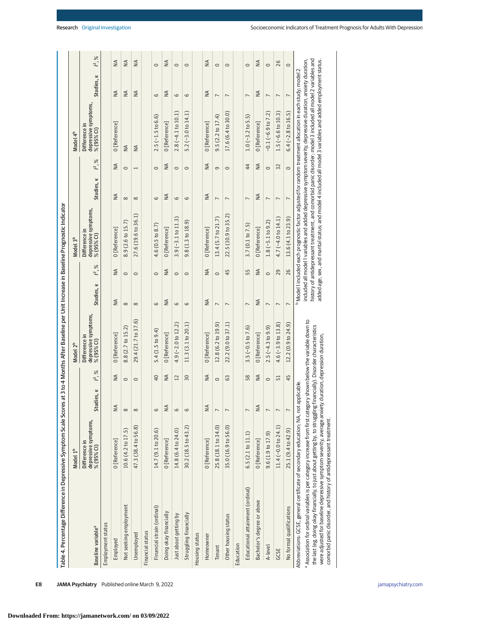| Table 4. Percentage Difference in Depressive Symptom Scale Scores at 3 to 4 Months After Baseline per Unit Increase in Baseline Prognostic Indicator                                                                                                                                                                                                                                                                                                          |                                                     |                                       |                 |                                                     |                          |                 |                                                                                                                                                                                                                                                                                                                                                                                                                                                        |                |                       |                                                     |                |                 |
|---------------------------------------------------------------------------------------------------------------------------------------------------------------------------------------------------------------------------------------------------------------------------------------------------------------------------------------------------------------------------------------------------------------------------------------------------------------|-----------------------------------------------------|---------------------------------------|-----------------|-----------------------------------------------------|--------------------------|-----------------|--------------------------------------------------------------------------------------------------------------------------------------------------------------------------------------------------------------------------------------------------------------------------------------------------------------------------------------------------------------------------------------------------------------------------------------------------------|----------------|-----------------------|-----------------------------------------------------|----------------|-----------------|
|                                                                                                                                                                                                                                                                                                                                                                                                                                                               | Model 1 <sup>b</sup>                                |                                       |                 | Model 2 <sup>b</sup>                                |                          |                 | Model 3 <sup>b</sup>                                                                                                                                                                                                                                                                                                                                                                                                                                   |                |                       | Model 4 <sup>b</sup>                                |                |                 |
| Baseline variable <sup>a</sup>                                                                                                                                                                                                                                                                                                                                                                                                                                | depressive symptoms,<br>% (95% CI)<br>Difference in | dies, k<br>$\overline{\mathsf{S}}$ tu | $\approx$<br>Ľ, | depressive symptoms,<br>Difference in<br>% (95% CI) | Studies, K               | $\approx$<br>Ľ, | depressive symptoms,<br>Difference in<br>% (95% CI)                                                                                                                                                                                                                                                                                                                                                                                                    | Studies, K     | $\approx$<br><b>≃</b> | depressive symptoms,<br>% (95% CI)<br>Difference in | Studies, K     | $\approx$<br>ľ, |
| Employment status                                                                                                                                                                                                                                                                                                                                                                                                                                             |                                                     |                                       |                 |                                                     |                          |                 |                                                                                                                                                                                                                                                                                                                                                                                                                                                        |                |                       |                                                     |                |                 |
| Employed                                                                                                                                                                                                                                                                                                                                                                                                                                                      | 0 [Reference]                                       | $\leq$                                | $\frac{4}{2}$   | 0 [Reference]                                       | ≸                        | $\leq$          | 0 [Reference]                                                                                                                                                                                                                                                                                                                                                                                                                                          | ≸              | $\leq$                | 0 [Reference]                                       | ≸              | $\leq$          |
| Not seeking employment                                                                                                                                                                                                                                                                                                                                                                                                                                        | 10.6 (4.2 to 17.5)                                  | $\infty$                              | $\circ$         | 8.8 (2.7 to 15.2)                                   | $\infty$                 | $\circ$         | 8.9 (2.6 to 15.7)                                                                                                                                                                                                                                                                                                                                                                                                                                      | $\infty$       | $\circ$               | $\leq$                                              | $\frac{4}{2}$  | $\leq$          |
| Unemployed                                                                                                                                                                                                                                                                                                                                                                                                                                                    | 47.3 (38.4 to 56.8)                                 | $\infty$                              | $\circ$         | 29.4 (21.7 to 37.6)                                 | $\infty$                 | $\circ$         | 27.6 (19.6 to 36.1)                                                                                                                                                                                                                                                                                                                                                                                                                                    | ${}^{\circ}$   | $\overline{ }$        | $\leq$                                              | $\leq$         | $\frac{4}{2}$   |
| Financial status                                                                                                                                                                                                                                                                                                                                                                                                                                              |                                                     |                                       |                 |                                                     |                          |                 |                                                                                                                                                                                                                                                                                                                                                                                                                                                        |                |                       |                                                     |                |                 |
| Financial strain (ordinal)                                                                                                                                                                                                                                                                                                                                                                                                                                    | 14.7 (9.1 to 20.6)                                  | 6                                     | $\overline{40}$ | $5.4(1.5 \text{ to } 9.4)$                          | $\circ$                  | $\circ$         | 4.6(0.5 to 8.7)                                                                                                                                                                                                                                                                                                                                                                                                                                        | 6              | $\circ$               | $2.5(-1.5t\sigma 6.6)$                              | 6              | $\circ$         |
| Doing okay financially                                                                                                                                                                                                                                                                                                                                                                                                                                        | 0 [Reference]                                       | $\leq$                                | $\frac{4}{2}$   | 0 [Reference]                                       | $\frac{4}{2}$            | $\frac{4}{2}$   | 0 [Reference]                                                                                                                                                                                                                                                                                                                                                                                                                                          | ₹              | $\frac{4}{2}$         | 0 [Reference]                                       | ₹              | $\frac{4}{2}$   |
| Just about getting by                                                                                                                                                                                                                                                                                                                                                                                                                                         | 14.8 (6.4 to 24.0)                                  | 6                                     | $\overline{12}$ | 4.9 $(-2.0$ to 12.2)                                | $\circ$                  | $\circ$         | $3.9(-3.1 to 11.3)$                                                                                                                                                                                                                                                                                                                                                                                                                                    | 6              | $\circ$               | $2.8(-4.1 to 10.1)$                                 | 6              | $\circ$         |
| Struggling financially                                                                                                                                                                                                                                                                                                                                                                                                                                        | 30.2 (18.5 to 43.2)                                 | 6                                     | 30              | 11.3(3.1 to 20.1)                                   | 6                        | $\circ$         | $9.8(1.3 \text{ to } 18.9)$                                                                                                                                                                                                                                                                                                                                                                                                                            | 6              | $\circ$               | $5.2(-3.0 to 14.1)$                                 | 6              | $\circ$         |
| Housing status                                                                                                                                                                                                                                                                                                                                                                                                                                                |                                                     |                                       |                 |                                                     |                          |                 |                                                                                                                                                                                                                                                                                                                                                                                                                                                        |                |                       |                                                     |                |                 |
| Homeowner                                                                                                                                                                                                                                                                                                                                                                                                                                                     | 0 [Reference]                                       | $\leq$                                | $\frac{4}{2}$   | 0 [Reference]                                       | ₹                        | $\frac{4}{2}$   | 0 [Reference]                                                                                                                                                                                                                                                                                                                                                                                                                                          | ₹              | $\frac{4}{2}$         | 0 [Reference]                                       | ₹              | $\frac{4}{2}$   |
| Tenant                                                                                                                                                                                                                                                                                                                                                                                                                                                        | 25.8 (18.1 to 34.0)                                 | $\overline{ }$                        | $\circ$         | 12.8 (6.2 to 19.9)                                  | $\overline{ }$           | $\circ$         | 13.4 (5.7 to 21.7)                                                                                                                                                                                                                                                                                                                                                                                                                                     | $\overline{ }$ | $\sigma$              | 9.5(2.2 to 17.4)                                    | $\overline{ }$ | $\circ$         |
| Other housing status                                                                                                                                                                                                                                                                                                                                                                                                                                          | 35.0 (16.9 to 56.0)                                 |                                       | G3              | 22.2 (9.0 to 37.1)                                  | $\overline{ }$           | 45              | 22.5 (10.9 to 35.2)                                                                                                                                                                                                                                                                                                                                                                                                                                    | $\overline{ }$ | $\circ$               | 17.6 (6.4 to 30.0)                                  | $\overline{ }$ | $\circ$         |
| Education                                                                                                                                                                                                                                                                                                                                                                                                                                                     |                                                     |                                       |                 |                                                     |                          |                 |                                                                                                                                                                                                                                                                                                                                                                                                                                                        |                |                       |                                                     |                |                 |
| Educational attainment (ordinal)                                                                                                                                                                                                                                                                                                                                                                                                                              | 6.5 (2.1 to 11.1)                                   | $\overline{ }$                        | 58              | $3.5(-0.5 to 7.6)$                                  | $\overline{ }$           | 55              | 3.7(0.1 to 7.5)                                                                                                                                                                                                                                                                                                                                                                                                                                        | $\overline{ }$ | 44                    | $1.0(-3.2 to 5.5)$                                  | $\overline{ }$ | $\circ$         |
| Bachelor's degree or above                                                                                                                                                                                                                                                                                                                                                                                                                                    | 0 [Reference]                                       | $\leq$                                | $\frac{4}{2}$   | 0 [Reference]                                       | $\frac{4}{2}$            | $\frac{4}{2}$   | 0 [Reference]                                                                                                                                                                                                                                                                                                                                                                                                                                          | ₹              | $\frac{4}{2}$         | 0 [Reference]                                       | $\frac{4}{2}$  | $\frac{4}{2}$   |
| A-level                                                                                                                                                                                                                                                                                                                                                                                                                                                       | 9.6(1.9 to 17.9)                                    | $\overline{ }$                        | $\circ$         | $2.5(-4.3 to 9.9)$                                  | $\overline{ }$           | $\circ$         | $1.8(-5.1 to 9.2)$                                                                                                                                                                                                                                                                                                                                                                                                                                     | $\overline{ }$ | $\circ$               | $-0.1(-6.9 to 7.2)$                                 | $\overline{ }$ | $\circ$         |
| GCSE                                                                                                                                                                                                                                                                                                                                                                                                                                                          | 11.4 ( $-0.0$ to 24.1)                              | $\overline{ }$                        | 51              | $4.6(-3.9 to 13.8)$                                 | $\overline{\phantom{a}}$ | 29              | $4.7(-4.0 to 14.1)$                                                                                                                                                                                                                                                                                                                                                                                                                                    | $\overline{ }$ | 32                    | $1.5(-6.6 to 10.3)$                                 | $\overline{ }$ | 26              |
| No formal qualifications                                                                                                                                                                                                                                                                                                                                                                                                                                      | 25.1 (9.4 to 42.9)                                  | $\overline{ }$                        | 45              | 12.2 (0.9 to 24.9)                                  | $\overline{ }$           | 26              | 13.6 (4.1 to 23.9)                                                                                                                                                                                                                                                                                                                                                                                                                                     | $\overline{ }$ | $\circ$               | $6.4(-2.8 to 16.5)$                                 | $\overline{ }$ | $\circ$         |
| a Association for ordinal variables is per category increase from first category shown below the variable down to<br>were adjusted for baseline depressive symptom severity, average anxiety duration, depression duration,<br>the last (eg, doing okay financially, to just about getting by, to struggling<br>Abbreviations: GCSE, general certificate of secondary education; NA, not<br>comorbid panic disorder, and history of antidepressant treatment. |                                                     | applicable.                           |                 | financially). Disorder characteristics              |                          |                 | history of antidepressant treatment, and comorbid panic disorder; model 3 included all model 2 variables and<br>included all model I variables and added depressive symptom severity, depressive duration, anxiety duration,<br>added age, sex, and marital status; and model 4 included all model 3 variables and added employment status.<br>Model 1 included each prognostic factor adjusted for random treatment allocation in each study; model 2 |                |                       |                                                     |                |                 |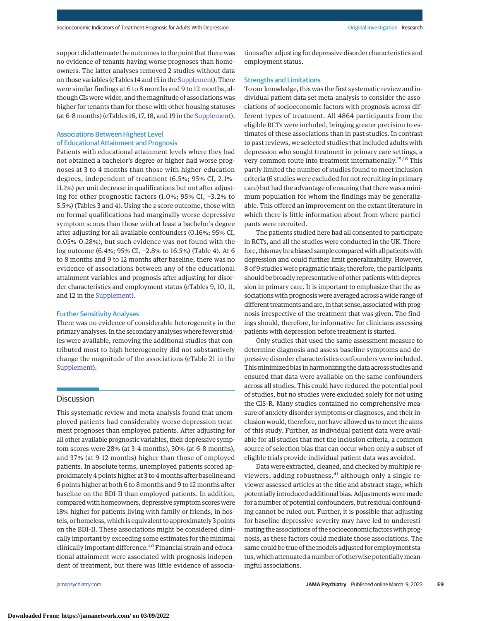support did attenuate the outcomes to the point that there was no evidence of tenants having worse prognoses than homeowners. The latter analyses removed 2 studies without data on those variables (eTables 14 and 15 in the [Supplement\)](https://jamanetwork.com/journals/jama/fullarticle/10.1001/jamapsychiatry.2022.0100?utm_campaign=articlePDF%26utm_medium=articlePDFlink%26utm_source=articlePDF%26utm_content=jamapsychiatry.2022.0100). There were similar findings at 6 to 8 months and 9 to 12 months, although CIs were wider, and the magnitude of associations was higher for tenants than for those with other housing statuses (at 6-8 months) (eTables 16, 17, 18, and 19 in the [Supplement\)](https://jamanetwork.com/journals/jama/fullarticle/10.1001/jamapsychiatry.2022.0100?utm_campaign=articlePDF%26utm_medium=articlePDFlink%26utm_source=articlePDF%26utm_content=jamapsychiatry.2022.0100).

# Associations Between Highest Level of Educational Attainment and Prognosis

Patients with educational attainment levels where they had not obtained a bachelor's degree or higher had worse prognoses at 3 to 4 months than those with higher-education degrees, independent of treatment (6.5%; 95% CI, 2.1%- 11.1%) per unit decrease in qualifications but not after adjusting for other prognostic factors (1.0%; 95% CI, −3.2% to 5.5%) (Tables 3 and 4). Using the *z* score outcome, those with no formal qualifications had marginally worse depressive symptom scores than those with at least a bachelor's degree after adjusting for all available confounders (0.16%; 95% CI, 0.05%-0.28%), but such evidence was not found with the log outcome (6.4%; 95% CI, −2.8% to 16.5%) (Table 4). At 6 to 8 months and 9 to 12 months after baseline, there was no evidence of associations between any of the educational attainment variables and prognosis after adjusting for disorder characteristics and employment status (eTables 9, 10, 11, and 12 in the [Supplement\)](https://jamanetwork.com/journals/jama/fullarticle/10.1001/jamapsychiatry.2022.0100?utm_campaign=articlePDF%26utm_medium=articlePDFlink%26utm_source=articlePDF%26utm_content=jamapsychiatry.2022.0100).

#### Further Sensitivity Analyses

There was no evidence of considerable heterogeneity in the primary analyses. In the secondary analyses where fewer studies were available, removing the additional studies that contributed most to high heterogeneity did not substantively change the magnitude of the associations (eTable 21 in the [Supplement\)](https://jamanetwork.com/journals/jama/fullarticle/10.1001/jamapsychiatry.2022.0100?utm_campaign=articlePDF%26utm_medium=articlePDFlink%26utm_source=articlePDF%26utm_content=jamapsychiatry.2022.0100).

## **Discussion**

This systematic review and meta-analysis found that unemployed patients had considerably worse depression treatment prognoses than employed patients. After adjusting for all other available prognostic variables, their depressive symptom scores were 28% (at 3-4 months), 30% (at 6-8 months), and 37% (at 9-12 months) higher than those of employed patients. In absolute terms, unemployed patients scored approximately 4 points higher at 3 to 4 months after baseline and 6 points higher at both 6 to 8 months and 9 to 12 months after baseline on the BDI-II than employed patients. In addition, compared with homeowners, depressive symptom scores were 18% higher for patients living with family or friends, in hostels, or homeless, which is equivalent to approximately 3 points on the BDI-II. These associations might be considered clinically important by exceeding some estimates for the minimal clinically important difference.<sup>40</sup> Financial strain and educational attainment were associated with prognosis independent of treatment, but there was little evidence of associa-

tions after adjusting for depressive disorder characteristics and employment status.

#### Strengths and Limitations

To our knowledge, this was the first systematic review and individual patient data set meta-analysis to consider the associations of socioeconomic factors with prognosis across different types of treatment. All 4864 participants from the eligible RCTs were included, bringing greater precision to estimates of these associations than in past studies. In contrast to past reviews, we selected studies that included adults with depression who sought treatment in primary care settings, a very common route into treatment internationally.15,16 This partly limited the number of studies found to meet inclusion criteria (6 studies were excluded for not recruiting in primary care) but had the advantage of ensuring that there was a minimum population for whom the findings may be generalizable. This offered an improvement on the extant literature in which there is little information about from where participants were recruited.

The patients studied here had all consented to participate in RCTs, and all the studies were conducted in the UK. Therefore, this may be a biased sample compared with all patients with depression and could further limit generalizability. However, 8 of 9 studies were pragmatic trials; therefore, the participants should be broadly representative of other patients with depression in primary care. It is important to emphasize that the associations with prognosis were averaged across a wide range of different treatments and are, in that sense, associated with prognosis irrespective of the treatment that was given. The findings should, therefore, be informative for clinicians assessing patients with depression before treatment is started.

Only studies that used the same assessment measure to determine diagnosis and assess baseline symptoms and depressive disorder characteristics confounders were included. This minimized bias in harmonizing the data across studies and ensured that data were available on the same confounders across all studies. This could have reduced the potential pool of studies, but no studies were excluded solely for not using the CIS-R. Many studies contained no comprehensive measure of anxiety disorder symptoms or diagnoses, and their inclusion would, therefore, not have allowed us tomeet the aims of this study. Further, as individual patient data were available for all studies that met the inclusion criteria, a common source of selection bias that can occur when only a subset of eligible trials provide individual patient data was avoided.

Data were extracted, cleaned, and checked by multiple reviewers, adding robustness, <sup>41</sup> although only a single reviewer assessed articles at the title and abstract stage, which potentially introduced additional bias. Adjustments weremade for a number of potential confounders, but residual confounding cannot be ruled out. Further, it is possible that adjusting for baseline depressive severity may have led to underestimating the associations of the socioeconomic factors with prognosis, as these factors could mediate those associations. The same could be true of themodels adjusted for employment status, which attenuated a number of otherwise potentiallymeaningful associations.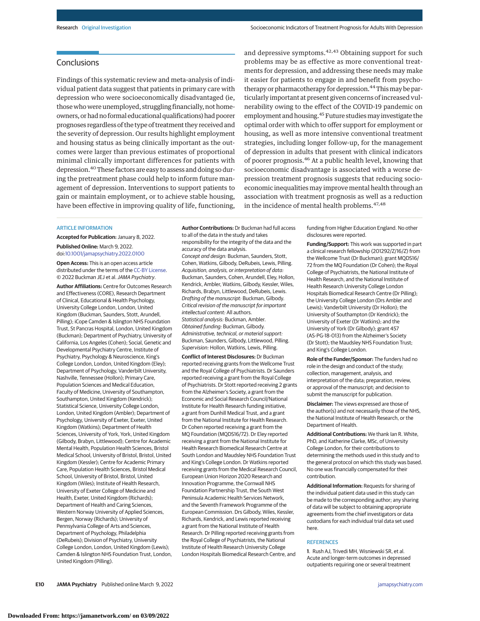# **Conclusions**

Findings of this systematic review and meta-analysis of individual patient data suggest that patients in primary care with depression who were socioeconomically disadvantaged (ie, those who were unemployed, struggling financially, not homeowners, or had no formal educational qualifications) had poorer prognoses regardless of the type of treatment they received and the severity of depression. Our results highlight employment and housing status as being clinically important as the outcomes were larger than previous estimates of proportional minimal clinically important differences for patients with depression.40 These factors are easy to assess and doing so during the pretreatment phase could help to inform future management of depression. Interventions to support patients to gain or maintain employment, or to achieve stable housing, have been effective in improving quality of life, functioning,

and depressive symptoms.<sup>42,43</sup> Obtaining support for such problems may be as effective as more conventional treatments for depression, and addressing these needs may make it easier for patients to engage in and benefit from psychotherapy or pharmacotherapy for depression.<sup>44</sup> This may be particularly important at present given concerns of increased vulnerability owing to the effect of the COVID-19 pandemic on employment and housing.<sup>45</sup> Future studies may investigate the optimal order with which to offer support for employment or housing, as well as more intensive conventional treatment strategies, including longer follow-up, for the management of depression in adults that present with clinical indicators of poorer prognosis.<sup>46</sup> At a public health level, knowing that socioeconomic disadvantage is associated with a worse depression treatment prognosis suggests that reducing socioeconomic inequalities may improve mental health through an association with treatment prognosis as well as a reduction in the incidence of mental health problems.47,48

#### ARTICLE INFORMATION

**Accepted for Publication:** January 8, 2022. **Published Online:** March 9, 2022.

doi[:10.1001/jamapsychiatry.2022.0100](https://jamanetwork.com/journals/jama/fullarticle/10.1001/jamapsychiatry.2022.0100?utm_campaign=articlePDF%26utm_medium=articlePDFlink%26utm_source=articlePDF%26utm_content=jamapsychiatry.2022.0100) **Open Access:** This is an open access article

distributed under the terms of the [CC-BY License.](https://jamanetwork.com/pages/cc-by-license-permissions?utm_campaign=articlePDF%26utm_medium=articlePDFlink%26utm_source=articlePDF%26utm_content=jamapsychiatry.2022.0100) © 2022 Buckman JEJ et al.JAMA Psychiatry.

**Author Affiliations:** Centre for Outcomes Research and Effectiveness (CORE), Research Department of Clinical, Educational & Health Psychology, University College London, London, United Kingdom (Buckman, Saunders, Stott, Arundell, Pilling); iCope Camden & Islington NHS Foundation Trust, St Pancras Hospital, London, United Kingdom (Buckman); Department of Psychiatry, University of California, Los Angeles (Cohen); Social, Genetic and Developmental Psychiatry Centre, Institute of Psychiatry, Psychology & Neuroscience, King's College London, London, United Kingdom (Eley); Department of Psychology, Vanderbilt University, Nashville, Tennessee (Hollon); Primary Care, Population Sciences and Medical Education, Faculty of Medicine, University of Southampton, Southampton, United Kingdom (Kendrick); Statistical Science, University College London, London, United Kingdom (Ambler); Department of Psychology, University of Exeter, Exeter, United Kingdom (Watkins); Department of Health Sciences, University of York, York, United Kingdom (Gilbody, Brabyn, Littlewood); Centre for Academic Mental Health, Population Health Sciences, Bristol Medical School, University of Bristol, Bristol, United Kingdom (Kessler); Centre for Academic Primary Care, Population Health Sciences, Bristol Medical School, University of Bristol, Bristol, United Kingdom (Wiles); Institute of Health Research, University of Exeter College of Medicine and Health, Exeter, United Kingdom (Richards); Department of Health and Caring Sciences, Western Norway University of Applied Sciences, Bergen, Norway (Richards); University of Pennsylvania College of Arts and Sciences, Department of Psychology, Philadelphia (DeRubeis); Division of Psychiatry, University College London, London, United Kingdom (Lewis); Camden & Islington NHS Foundation Trust, London, United Kingdom (Pilling).

**Author Contributions:** Dr Buckman had full access to all of the data in the study and takes responsibility for the integrity of the data and the accuracy of the data analysis. Concept and design: Buckman, Saunders, Stott, Cohen, Watkins, Gilbody, DeRubeis, Lewis, Pilling. Acquisition, analysis, or interpretation of data: Buckman, Saunders, Cohen, Arundell, Eley, Hollon, Kendrick, Ambler, Watkins, Gilbody, Kessler, Wiles, Richards, Brabyn, Littlewood, DeRubeis, Lewis. Drafting of the manuscript: Buckman, Gilbody. Critical revision of the manuscript for important intellectual content: All authors. Statistical analysis: Buckman, Ambler. Obtained funding: Buckman, Gilbody. Administrative, technical, or material support: Buckman, Saunders, Gilbody, Littlewood, Pilling. Supervision: Hollon, Watkins, Lewis, Pilling.

**Conflict of Interest Disclosures:** Dr Buckman reported receiving grants from the Wellcome Trust and the Royal College of Psychiatrists. Dr Saunders reported receiving a grant from the Royal College of Psychiatrists. Dr Stott reported receiving 2 grants from the Alzheimer's Society, a grant from the Economic and Social Research Council/National Institute for Health Research funding initiative, a grant from Dunhill Medical Trust, and a grant from the National Institute for Health Research. Dr Cohen reported receiving a grant from the MQ Foundation (MQDS16/72). Dr Eley reported receiving a grant from the National Institute for Health Research Biomedical Research Centre at South London and Maudsley NHS Foundation Trust and King's College London. Dr Watkins reported receiving grants from the Medical Research Council, European Union Horizon 2020 Research and Innovation Programme, the Cornwall NHS Foundation Partnership Trust, the South West Peninsula Academic Health Services Network, and the Seventh Framework Programme of the European Commission. Drs Gilbody, Wiles, Kessler, Richards, Kendrick, and Lewis reported receiving a grant from the National Institute of Health Research. Dr Pilling reported receiving grants from the Royal College of Psychiatrists, the National Institute of Health Research University College London Hospitals Biomedical Research Centre, and

funding from Higher Education England. No other disclosures were reported.

**Funding/Support:** This work was supported in part a clinical research fellowship (201292/Z/16/Z) from the Wellcome Trust (Dr Buckman); grant MQDS16/ 72 from the MQ Foundation (Dr Cohen); the Royal College of Psychiatrists, the National Institute of Health Research, and the National Institute of Health Research University College London Hospitals Biomedical Research Centre (Dr Pilling); the University College London (Drs Ambler and Lewis); Vanderbilt University (Dr Hollon); the University of Southampton (Dr Kendrick); the University of Exeter (Dr Watkins); and the University of York (Dr Gilbody); grant 457 (AS-PG-18-013) from the Alzheimer's Society (Dr Stott); the Maudsley NHS Foundation Trust; and King's College London.

**Role of the Funder/Sponsor:** The funders had no role in the design and conduct of the study; collection, management, analysis, and interpretation of the data; preparation, review, or approval of the manuscript; and decision to submit the manuscript for publication.

**Disclaimer:** The views expressed are those of the author(s) and not necessarily those of the NHS, the National Institute of Health Research, or the Department of Health.

**Additional Contributions:** We thank Ian R. White, PhD, and Katherine Clarke, MSc, of University College London, for their contributions to determining the methods used in this study and to the general protocol on which this study was based. No one was financially compensated for their contribution.

**Additional Information:** Requests for sharing of the individual patient data used in this study can be made to the corresponding author; any sharing of data will be subject to obtaining appropriate agreements from the chief investigators or data custodians for each individual trial data set used here.

## **REFERENCES**

**1**. Rush AJ, Trivedi MH, Wisniewski SR, et al. Acute and longer-term outcomes in depressed outpatients requiring one or several treatment